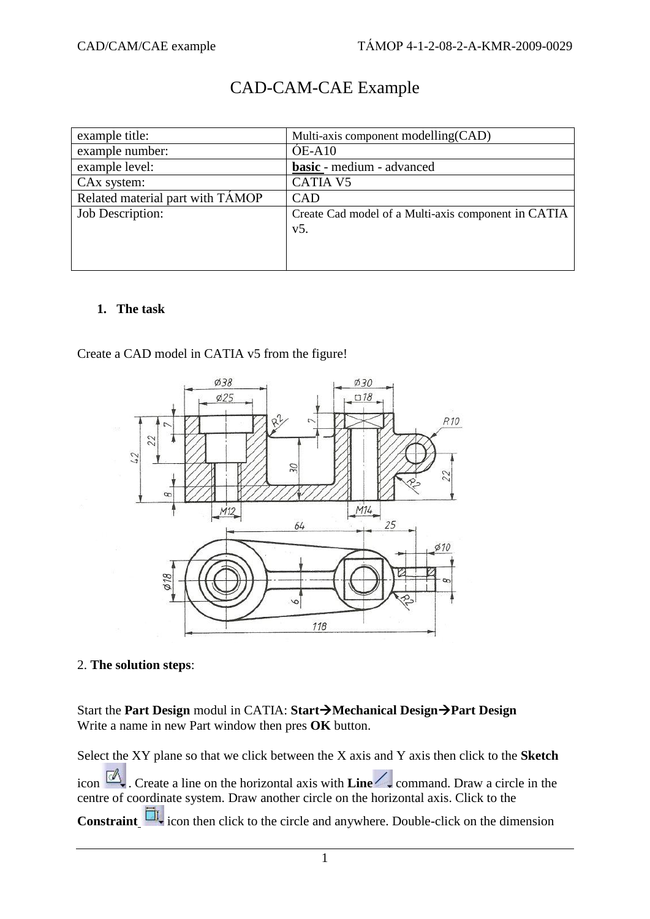## CAD-CAM-CAE Example

| example title:                   | Multi-axis component modelling (CAD)                |
|----------------------------------|-----------------------------------------------------|
| example number:                  | $OE-A10$                                            |
| example level:                   | basic - medium - advanced                           |
| CA <sub>x</sub> system:          | <b>CATIA V5</b>                                     |
| Related material part with TAMOP | CAD                                                 |
| <b>Job Description:</b>          | Create Cad model of a Multi-axis component in CATIA |
|                                  | $V5$ .                                              |
|                                  |                                                     |
|                                  |                                                     |

## **1. The task**

Create a CAD model in CATIA v5 from the figure!



## 2. **The solution steps**:

Start the **Part Design** modul in CATIA: Start **>Mechanical Design >Part Design** Write a name in new Part window then pres **OK** button.

Select the XY plane so that we click between the X axis and Y axis then click to the **Sketch** icon  $\Box$ . Create a line on the horizontal axis with **Line**  $\Box$  command. Draw a circle in the centre of coordinate system. Draw another circle on the horizontal axis. Click to the **Constraint**  $\frac{\Box I}{\Box I}$  icon then click to the circle and anywhere. Double-click on the dimension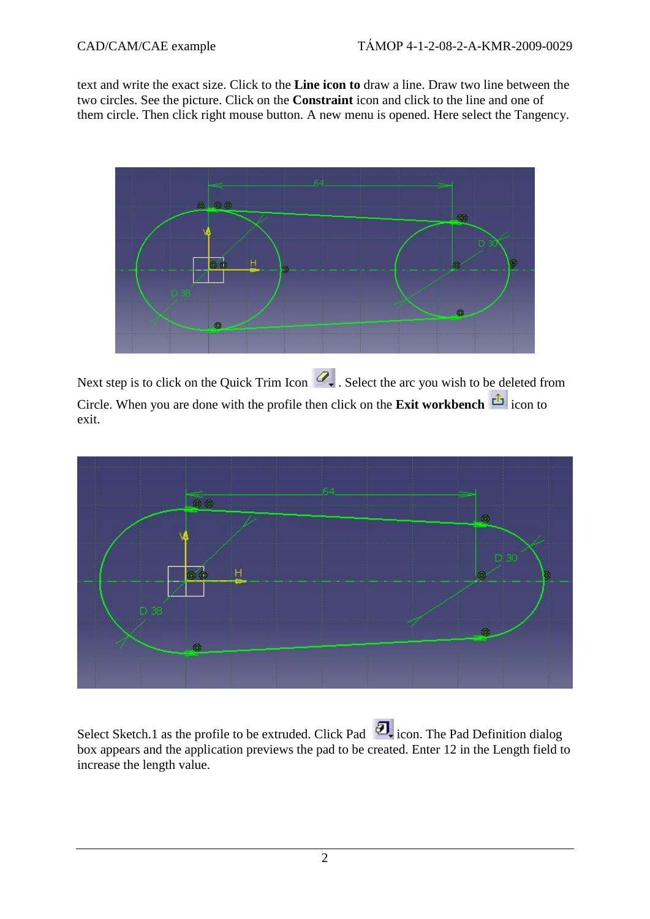text and write the exact size. Click to the **Line icon to** draw a line. Draw two line between the two circles. See the picture. Click on the **Constraint** icon and click to the line and one of them circle. Then click right mouse button. A new menu is opened. Here select the Tangency.



Next step is to click on the Quick Trim Icon  $\mathcal{Q}_\bullet$ . Select the arc you wish to be deleted from Circle. When you are done with the profile then click on the **Exit workbench** icon to exit.



Select Sketch.1 as the profile to be extruded. Click Pad  $\Box$  icon. The Pad Definition dialog box appears and the application previews the pad to be created. Enter 12 in the Length field to increase the length value.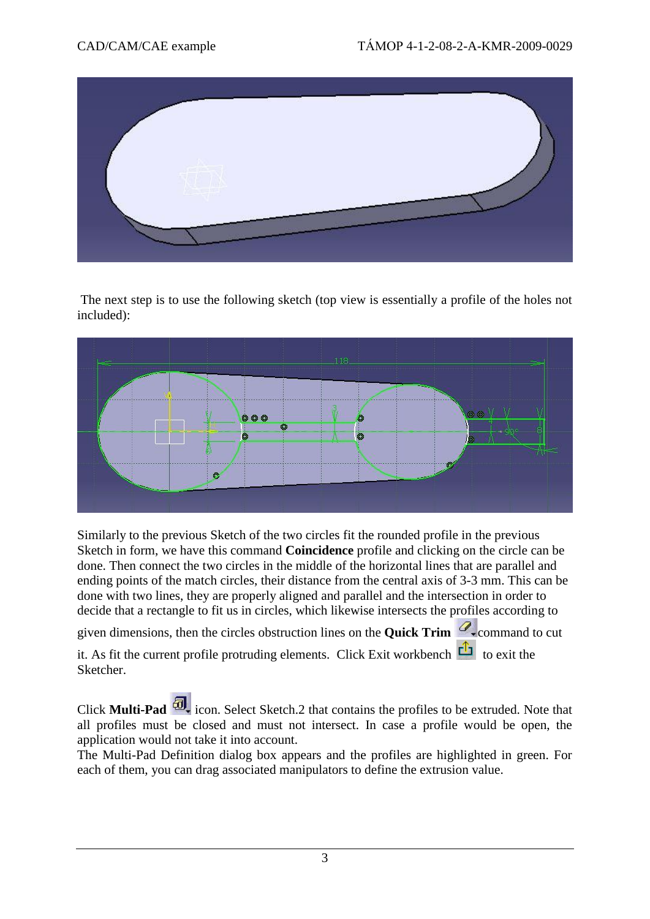

The next step is to use the following sketch (top view is essentially a profile of the holes not included):



Similarly to the previous Sketch of the two circles fit the rounded profile in the previous Sketch in form, we have this command **Coincidence** profile and clicking on the circle can be done. Then connect the two circles in the middle of the horizontal lines that are parallel and ending points of the match circles, their distance from the central axis of 3-3 mm. This can be done with two lines, they are properly aligned and parallel and the intersection in order to decide that a rectangle to fit us in circles, which likewise intersects the profiles according to

given dimensions, then the circles obstruction lines on the **Quick Trim** command to cut

it. As fit the current profile protruding elements. Click Exit workbench  $\overline{C}$  to exit the Sketcher.

Click **Multi-Pad**  $\overline{\omega}$  icon. Select Sketch.2 that contains the profiles to be extruded. Note that all profiles must be closed and must not intersect. In case a profile would be open, the application would not take it into account.

The Multi-Pad Definition dialog box appears and the profiles are highlighted in green. For each of them, you can drag associated manipulators to define the extrusion value.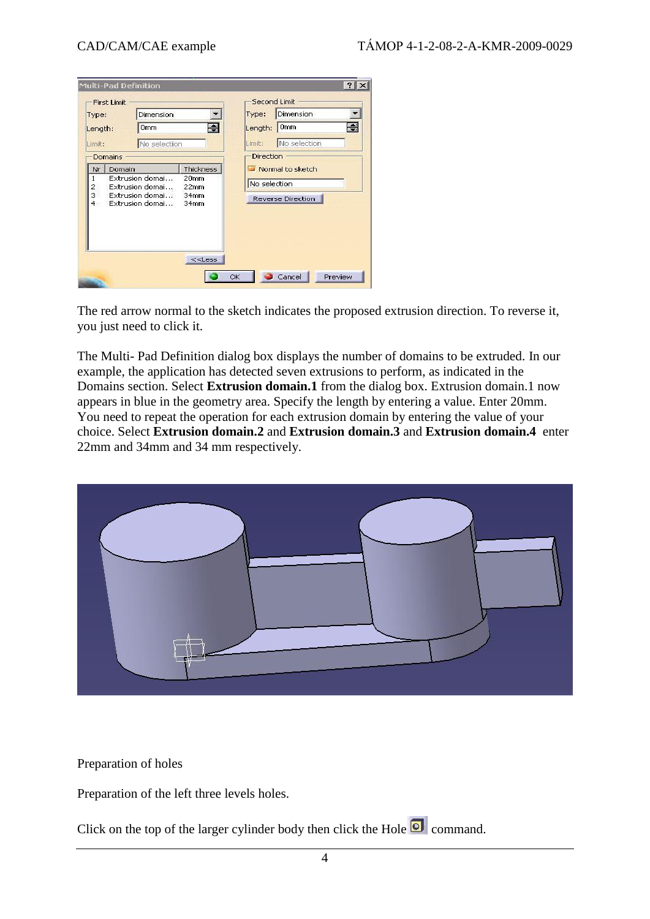| Type:                  |                     | Dimension                          |                                      | Type:            | Dimension         |   |
|------------------------|---------------------|------------------------------------|--------------------------------------|------------------|-------------------|---|
| Length:                |                     | 0 <sub>mm</sub>                    | ÷                                    | Length:          | <b>Omm</b>        | W |
| Limit:                 |                     | No selection                       |                                      | Limit:           | No selection      |   |
|                        | Domains             |                                    |                                      | Direction        |                   |   |
| Nr                     | Thickness<br>Domain |                                    |                                      | Normal to sketch |                   |   |
| 1                      |                     | Extrusion domai<br>Extrusion domai | 20 <sub>mm</sub><br>22 <sub>mm</sub> | No selection     |                   |   |
| $\frac{2}{3}$<br>$4 -$ |                     | Extrusion domai<br>Extrusion domai | 34 <sub>mm</sub><br>34mm             |                  | Reverse Direction |   |
|                        |                     |                                    |                                      |                  |                   |   |
|                        |                     |                                    |                                      |                  |                   |   |
|                        |                     |                                    | $<<$ Less                            |                  |                   |   |

The red arrow normal to the sketch indicates the proposed extrusion direction. To reverse it, you just need to click it.

The Multi- Pad Definition dialog box displays the number of domains to be extruded. In our example, the application has detected seven extrusions to perform, as indicated in the Domains section. Select **Extrusion domain.1** from the dialog box. Extrusion domain.1 now appears in blue in the geometry area. Specify the length by entering a value. Enter 20mm. You need to repeat the operation for each extrusion domain by entering the value of your choice. Select **Extrusion domain.2** and **Extrusion domain.3** and **Extrusion domain.4** enter 22mm and 34mm and 34 mm respectively.



Preparation of holes

Preparation of the left three levels holes.

Click on the top of the larger cylinder body then click the Hole  $\overline{\textcircled{\textbf{I}}}$  command.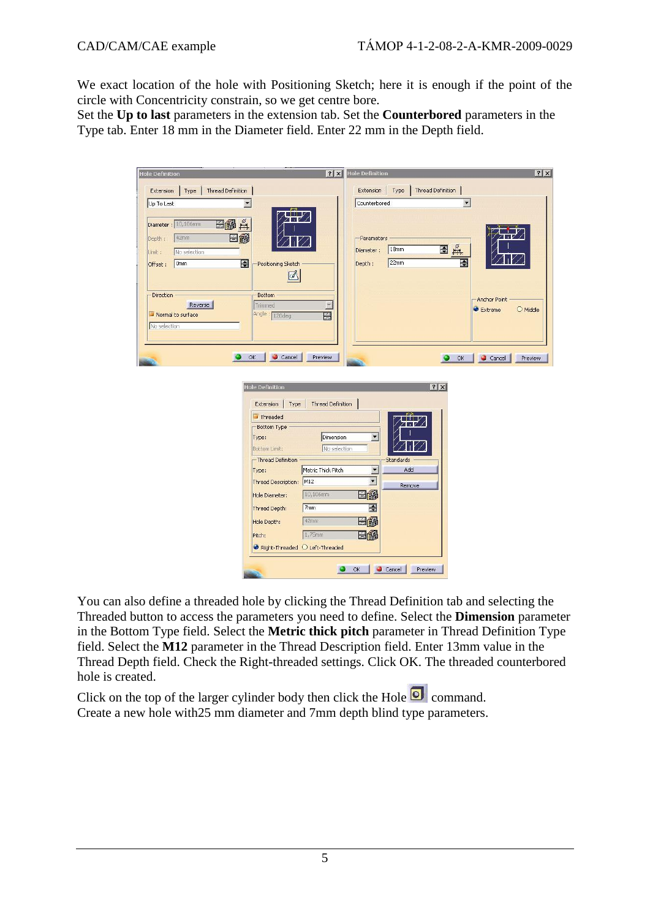We exact location of the hole with Positioning Sketch; here it is enough if the point of the circle with Concentricity constrain, so we get centre bore.

Set the **Up to last** parameters in the extension tab. Set the **Counterbored** parameters in the Type tab. Enter 18 mm in the Diameter field. Enter 22 mm in the Depth field.

| ? X <br><b>Hole Definition</b>                                               | $ ?  \times$<br><b>Hole Definition</b> |
|------------------------------------------------------------------------------|----------------------------------------|
| Extension<br>Type<br>Thread Definition                                       | Extension<br>Type<br>Thread Definition |
| $\overline{\phantom{a}}$<br>Up To Last                                       | $\blacktriangledown$<br>Counterbored   |
| 丹<br>日的<br>Diameter: 10,106mm<br>42mm<br>H<br>Depth:                         | -Parameters                            |
| No selection<br>Limit :                                                      | 日兵<br>18mm<br>Diameter:                |
| $\Rightarrow$<br>Omm<br>Positioning Sketch<br>Offset:                        | E<br>22mm<br>Depth:                    |
| M                                                                            |                                        |
| Direction<br><b>Bottom</b><br>Reverse<br>Trimmed<br>$\overline{\mathcal{R}}$ | Anchor Point                           |
| Ĥ<br>Normal to surface<br>Angle: 120deg                                      | Extreme<br>$\bigcirc$ Middle           |
| No selection                                                                 |                                        |
| OK<br>e                                                                      |                                        |
| Cancel<br>Preview                                                            | Cancel<br>۵<br>OK<br>Preview           |
| <b>Hole Definition</b>                                                       | ? x                                    |
| Type<br><b>Thread Definition</b><br>Extension                                |                                        |
| $\blacksquare$ Threaded                                                      |                                        |
| Bottom Type                                                                  |                                        |
| Dimension<br>Type:<br>No selection<br>Bottom Limit:                          | $\blacktriangledown$                   |
| - Thread Definition                                                          | Standards                              |
| Metric Thick Pitch<br>Type:                                                  | Add<br>$\blacktriangledown$            |
| Thread Description: M12                                                      | $\vert \cdot \vert$<br>Remove          |
| 10,106mm<br>Hole Diameter:                                                   | EØ                                     |
| 7 <sub>mm</sub><br>Thread Depth:                                             | E                                      |
| 42mm<br>Hole Depth:                                                          | EØ                                     |
| $1,75$ mm<br>Pitch:                                                          | 日的                                     |
| Right-Threaded O Left-Threaded                                               |                                        |
|                                                                              | OK<br>Cancel<br>Preview                |

You can also define a threaded hole by clicking the Thread Definition tab and selecting the Threaded button to access the parameters you need to define. Select the **Dimension** parameter in the Bottom Type field. Select the **Metric thick pitch** parameter in Thread Definition Type field. Select the **M12** parameter in the Thread Description field. Enter 13mm value in the Thread Depth field. Check the Right-threaded settings. Click OK. The threaded counterbored hole is created.

Click on the top of the larger cylinder body then click the Hole  $\overline{Q}$  command. Create a new hole with25 mm diameter and 7mm depth blind type parameters.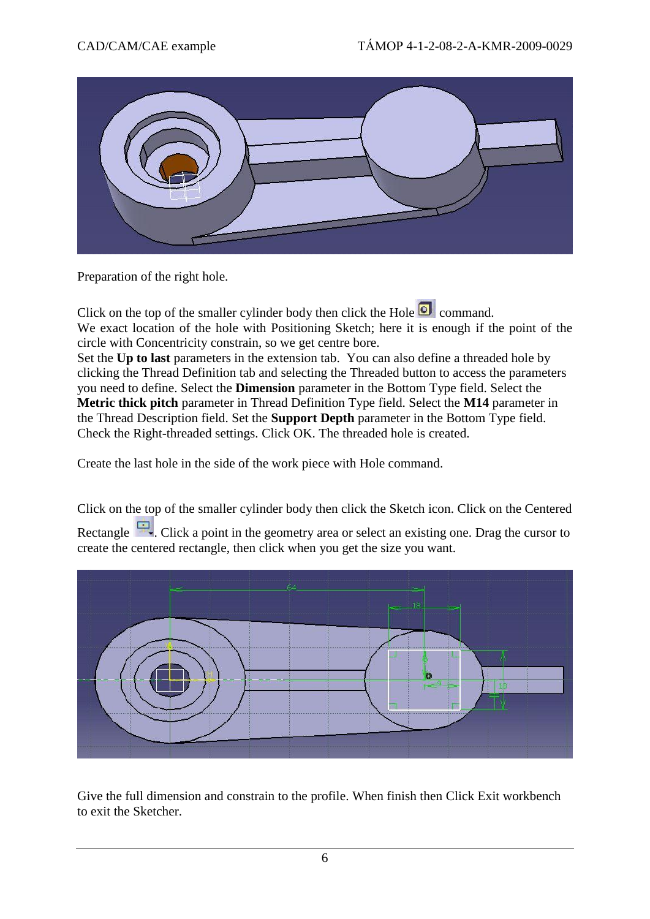

Preparation of the right hole.

Click on the top of the smaller cylinder body then click the Hole  $\overline{\textcircled{\textbf{I}}}$  command. We exact location of the hole with Positioning Sketch; here it is enough if the point of the circle with Concentricity constrain, so we get centre bore.

Set the **Up to last** parameters in the extension tab. You can also define a threaded hole by clicking the Thread Definition tab and selecting the Threaded button to access the parameters you need to define. Select the **Dimension** parameter in the Bottom Type field. Select the **Metric thick pitch** parameter in Thread Definition Type field. Select the **M14** parameter in the Thread Description field. Set the **Support Depth** parameter in the Bottom Type field. Check the Right-threaded settings. Click OK. The threaded hole is created.

Create the last hole in the side of the work piece with Hole command.

Click on the top of the smaller cylinder body then click the Sketch icon. Click on the Centered Rectangle . Click a point in the geometry area or select an existing one. Drag the cursor to create the centered rectangle, then click when you get the size you want.



Give the full dimension and constrain to the profile. When finish then Click Exit workbench to exit the Sketcher.

6